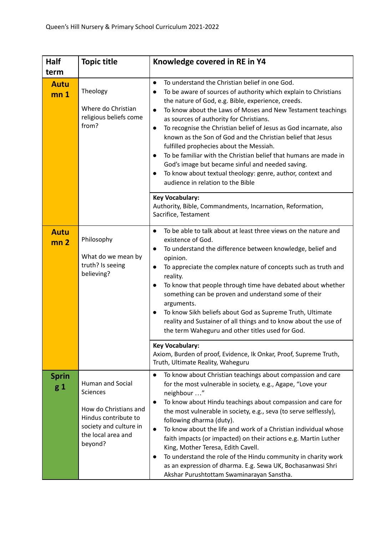| Half                           | <b>Topic title</b>                                                                                                                       | Knowledge covered in RE in Y4                                                                                                                                                                                                                                                                                                                                                                                                                                                                                                                                                                                                                                                                                                                                             |
|--------------------------------|------------------------------------------------------------------------------------------------------------------------------------------|---------------------------------------------------------------------------------------------------------------------------------------------------------------------------------------------------------------------------------------------------------------------------------------------------------------------------------------------------------------------------------------------------------------------------------------------------------------------------------------------------------------------------------------------------------------------------------------------------------------------------------------------------------------------------------------------------------------------------------------------------------------------------|
| term                           |                                                                                                                                          |                                                                                                                                                                                                                                                                                                                                                                                                                                                                                                                                                                                                                                                                                                                                                                           |
| <b>Autu</b><br>mn <sub>1</sub> | Theology<br>Where do Christian<br>religious beliefs come<br>from?                                                                        | To understand the Christian belief in one God.<br>$\bullet$<br>To be aware of sources of authority which explain to Christians<br>$\bullet$<br>the nature of God, e.g. Bible, experience, creeds.<br>To know about the Laws of Moses and New Testament teachings<br>$\bullet$<br>as sources of authority for Christians.<br>To recognise the Christian belief of Jesus as God incarnate, also<br>$\bullet$<br>known as the Son of God and the Christian belief that Jesus<br>fulfilled prophecies about the Messiah.<br>To be familiar with the Christian belief that humans are made in<br>$\bullet$<br>God's image but became sinful and needed saving.<br>To know about textual theology: genre, author, context and<br>$\bullet$<br>audience in relation to the Bible |
|                                |                                                                                                                                          | <b>Key Vocabulary:</b><br>Authority, Bible, Commandments, Incarnation, Reformation,<br>Sacrifice, Testament                                                                                                                                                                                                                                                                                                                                                                                                                                                                                                                                                                                                                                                               |
| <b>Autu</b><br>mn <sub>2</sub> | Philosophy<br>What do we mean by<br>truth? Is seeing<br>believing?                                                                       | To be able to talk about at least three views on the nature and<br>$\bullet$<br>existence of God.<br>To understand the difference between knowledge, belief and<br>$\bullet$<br>opinion.<br>To appreciate the complex nature of concepts such as truth and<br>$\bullet$<br>reality.<br>To know that people through time have debated about whether<br>$\bullet$<br>something can be proven and understand some of their<br>arguments.<br>To know Sikh beliefs about God as Supreme Truth, Ultimate<br>$\bullet$<br>reality and Sustainer of all things and to know about the use of<br>the term Waheguru and other titles used for God.                                                                                                                                   |
|                                |                                                                                                                                          | <b>Key Vocabulary:</b><br>Axiom, Burden of proof, Evidence, Ik Onkar, Proof, Supreme Truth,<br>Truth, Ultimate Reality, Waheguru                                                                                                                                                                                                                                                                                                                                                                                                                                                                                                                                                                                                                                          |
| <b>Sprin</b><br>g 1            | Human and Social<br>Sciences<br>How do Christians and<br>Hindus contribute to<br>society and culture in<br>the local area and<br>beyond? | To know about Christian teachings about compassion and care<br>$\bullet$<br>for the most vulnerable in society, e.g., Agape, "Love your<br>neighbour "<br>To know about Hindu teachings about compassion and care for<br>$\bullet$<br>the most vulnerable in society, e.g., seva (to serve selflessly),<br>following dharma (duty).<br>To know about the life and work of a Christian individual whose<br>$\bullet$<br>faith impacts (or impacted) on their actions e.g. Martin Luther<br>King, Mother Teresa, Edith Cavell.<br>To understand the role of the Hindu community in charity work<br>$\bullet$<br>as an expression of dharma. E.g. Sewa UK, Bochasanwasi Shri<br>Akshar Purushtottam Swaminarayan Sanstha.                                                    |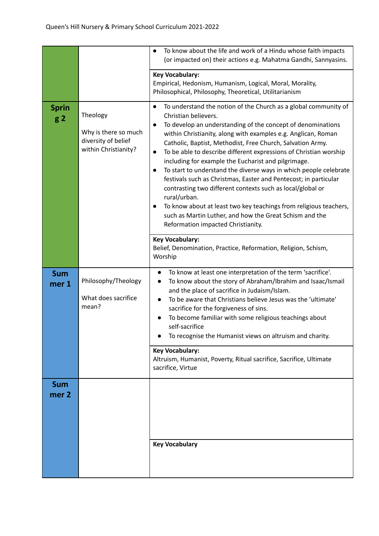|                                |                                                                                 | To know about the life and work of a Hindu whose faith impacts<br>$\bullet$<br>(or impacted on) their actions e.g. Mahatma Gandhi, Sannyasins.                                                                                                                                                                                                                                                                                                                                                                                                                                                                                                                                                                                                                                                                                                        |
|--------------------------------|---------------------------------------------------------------------------------|-------------------------------------------------------------------------------------------------------------------------------------------------------------------------------------------------------------------------------------------------------------------------------------------------------------------------------------------------------------------------------------------------------------------------------------------------------------------------------------------------------------------------------------------------------------------------------------------------------------------------------------------------------------------------------------------------------------------------------------------------------------------------------------------------------------------------------------------------------|
|                                |                                                                                 | <b>Key Vocabulary:</b><br>Empirical, Hedonism, Humanism, Logical, Moral, Morality,<br>Philosophical, Philosophy, Theoretical, Utilitarianism                                                                                                                                                                                                                                                                                                                                                                                                                                                                                                                                                                                                                                                                                                          |
| <b>Sprin</b><br>g <sub>2</sub> | Theology<br>Why is there so much<br>diversity of belief<br>within Christianity? | To understand the notion of the Church as a global community of<br>$\bullet$<br>Christian believers.<br>To develop an understanding of the concept of denominations<br>$\bullet$<br>within Christianity, along with examples e.g. Anglican, Roman<br>Catholic, Baptist, Methodist, Free Church, Salvation Army.<br>To be able to describe different expressions of Christian worship<br>$\bullet$<br>including for example the Eucharist and pilgrimage.<br>To start to understand the diverse ways in which people celebrate<br>festivals such as Christmas, Easter and Pentecost; in particular<br>contrasting two different contexts such as local/global or<br>rural/urban.<br>To know about at least two key teachings from religious teachers,<br>such as Martin Luther, and how the Great Schism and the<br>Reformation impacted Christianity. |
|                                |                                                                                 | <b>Key Vocabulary:</b><br>Belief, Denomination, Practice, Reformation, Religion, Schism,<br>Worship                                                                                                                                                                                                                                                                                                                                                                                                                                                                                                                                                                                                                                                                                                                                                   |
| <b>Sum</b><br>mer 1            | Philosophy/Theology<br>What does sacrifice<br>mean?                             | To know at least one interpretation of the term 'sacrifice'.<br>$\bullet$<br>To know about the story of Abraham/Ibrahim and Isaac/Ismail<br>and the place of sacrifice in Judaism/Islam.<br>To be aware that Christians believe Jesus was the 'ultimate'<br>sacrifice for the forgiveness of sins.<br>To become familiar with some religious teachings about<br>self-sacrifice<br>To recognise the Humanist views on altruism and charity.                                                                                                                                                                                                                                                                                                                                                                                                            |
|                                |                                                                                 | <b>Key Vocabulary:</b><br>Altruism, Humanist, Poverty, Ritual sacrifice, Sacrifice, Ultimate<br>sacrifice, Virtue                                                                                                                                                                                                                                                                                                                                                                                                                                                                                                                                                                                                                                                                                                                                     |
| <b>Sum</b><br>mer <sub>2</sub> |                                                                                 |                                                                                                                                                                                                                                                                                                                                                                                                                                                                                                                                                                                                                                                                                                                                                                                                                                                       |
|                                |                                                                                 | <b>Key Vocabulary</b>                                                                                                                                                                                                                                                                                                                                                                                                                                                                                                                                                                                                                                                                                                                                                                                                                                 |